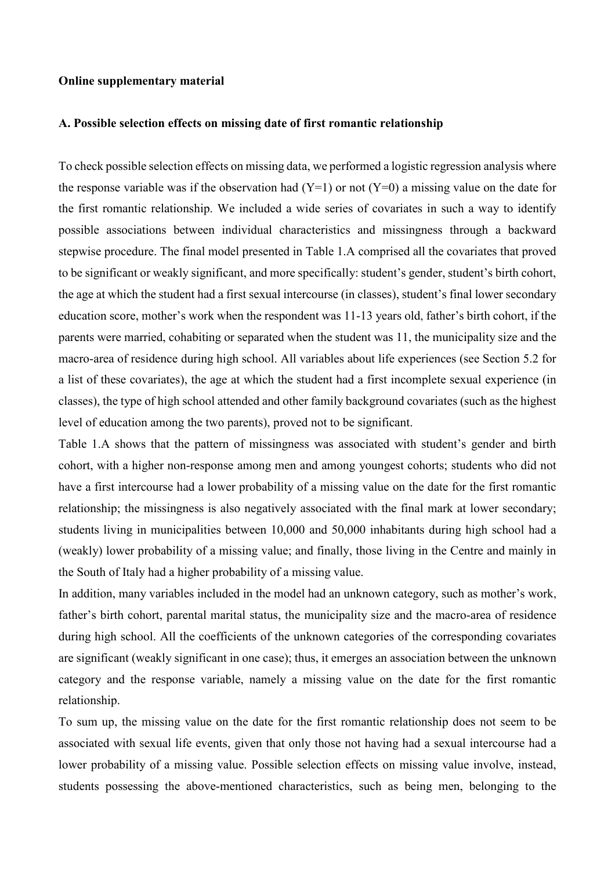## **Online supplementary material**

## **A. Possible selection effects on missing date of first romantic relationship**

To check possible selection effects on missing data, we performed a logistic regression analysis where the response variable was if the observation had  $(Y=1)$  or not  $(Y=0)$  a missing value on the date for the first romantic relationship. We included a wide series of covariates in such a way to identify possible associations between individual characteristics and missingness through a backward stepwise procedure. The final model presented in Table 1.A comprised all the covariates that proved to be significant or weakly significant, and more specifically: student's gender, student's birth cohort, the age at which the student had a first sexual intercourse (in classes), student's final lower secondary education score, mother's work when the respondent was 11-13 years old, father's birth cohort, if the parents were married, cohabiting or separated when the student was 11, the municipality size and the macro-area of residence during high school. All variables about life experiences (see Section 5.2 for a list of these covariates), the age at which the student had a first incomplete sexual experience (in classes), the type of high school attended and other family background covariates (such as the highest level of education among the two parents), proved not to be significant.

Table 1.A shows that the pattern of missingness was associated with student's gender and birth cohort, with a higher non-response among men and among youngest cohorts; students who did not have a first intercourse had a lower probability of a missing value on the date for the first romantic relationship; the missingness is also negatively associated with the final mark at lower secondary; students living in municipalities between 10,000 and 50,000 inhabitants during high school had a (weakly) lower probability of a missing value; and finally, those living in the Centre and mainly in the South of Italy had a higher probability of a missing value.

In addition, many variables included in the model had an unknown category, such as mother's work, father's birth cohort, parental marital status, the municipality size and the macro-area of residence during high school. All the coefficients of the unknown categories of the corresponding covariates are significant (weakly significant in one case); thus, it emerges an association between the unknown category and the response variable, namely a missing value on the date for the first romantic relationship.

To sum up, the missing value on the date for the first romantic relationship does not seem to be associated with sexual life events, given that only those not having had a sexual intercourse had a lower probability of a missing value. Possible selection effects on missing value involve, instead, students possessing the above-mentioned characteristics, such as being men, belonging to the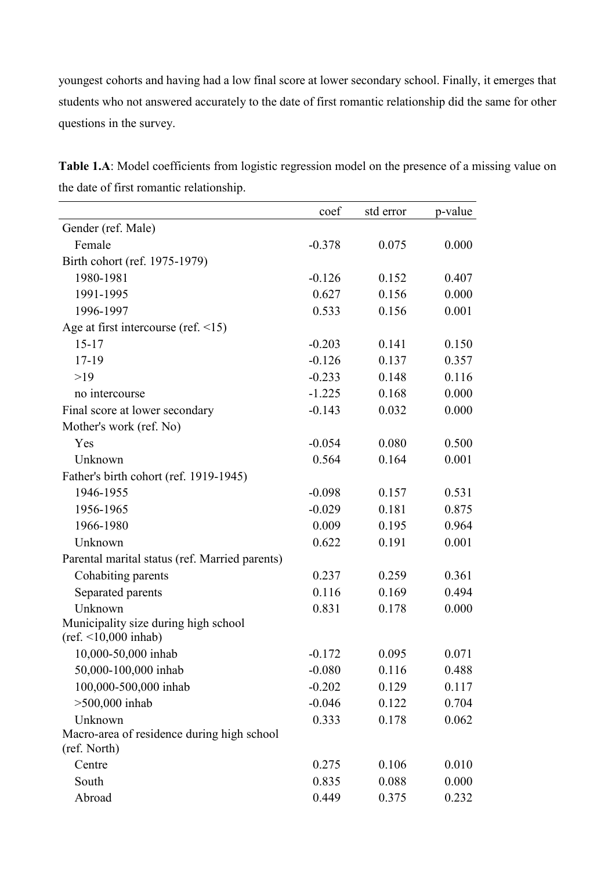youngest cohorts and having had a low final score at lower secondary school. Finally, it emerges that students who not answered accurately to the date of first romantic relationship did the same for other questions in the survey.

|                                                            | coef     | std error | p-value |
|------------------------------------------------------------|----------|-----------|---------|
| Gender (ref. Male)                                         |          |           |         |
| Female                                                     | $-0.378$ | 0.075     | 0.000   |
| Birth cohort (ref. 1975-1979)                              |          |           |         |
| 1980-1981                                                  | $-0.126$ | 0.152     | 0.407   |
| 1991-1995                                                  | 0.627    | 0.156     | 0.000   |
| 1996-1997                                                  | 0.533    | 0.156     | 0.001   |
| Age at first intercourse (ref. $\leq 15$ )                 |          |           |         |
| $15 - 17$                                                  | $-0.203$ | 0.141     | 0.150   |
| $17-19$                                                    | $-0.126$ | 0.137     | 0.357   |
| $>19$                                                      | $-0.233$ | 0.148     | 0.116   |
| no intercourse                                             | $-1.225$ | 0.168     | 0.000   |
| Final score at lower secondary                             | $-0.143$ | 0.032     | 0.000   |
| Mother's work (ref. No)                                    |          |           |         |
| Yes                                                        | $-0.054$ | 0.080     | 0.500   |
| Unknown                                                    | 0.564    | 0.164     | 0.001   |
| Father's birth cohort (ref. 1919-1945)                     |          |           |         |
| 1946-1955                                                  | $-0.098$ | 0.157     | 0.531   |
| 1956-1965                                                  | $-0.029$ | 0.181     | 0.875   |
| 1966-1980                                                  | 0.009    | 0.195     | 0.964   |
| Unknown                                                    | 0.622    | 0.191     | 0.001   |
| Parental marital status (ref. Married parents)             |          |           |         |
| Cohabiting parents                                         | 0.237    | 0.259     | 0.361   |
| Separated parents                                          | 0.116    | 0.169     | 0.494   |
| Unknown                                                    | 0.831    | 0.178     | 0.000   |
| Municipality size during high school                       |          |           |         |
| $(ref. < 10,000 \text{ inhab})$                            |          |           |         |
| 10,000-50,000 inhab                                        | $-0.172$ | 0.095     | 0.071   |
| 50,000-100,000 inhab                                       | $-0.080$ | 0.116     | 0.488   |
| 100,000-500,000 inhab                                      | $-0.202$ | 0.129     | 0.117   |
| $>500,000$ inhab                                           | $-0.046$ | 0.122     | 0.704   |
| Unknown                                                    | 0.333    | 0.178     | 0.062   |
| Macro-area of residence during high school<br>(ref. North) |          |           |         |
| Centre                                                     | 0.275    | 0.106     | 0.010   |
| South                                                      | 0.835    | 0.088     | 0.000   |
| Abroad                                                     | 0.449    | 0.375     | 0.232   |

**Table 1.A**: Model coefficients from logistic regression model on the presence of a missing value on the date of first romantic relationship.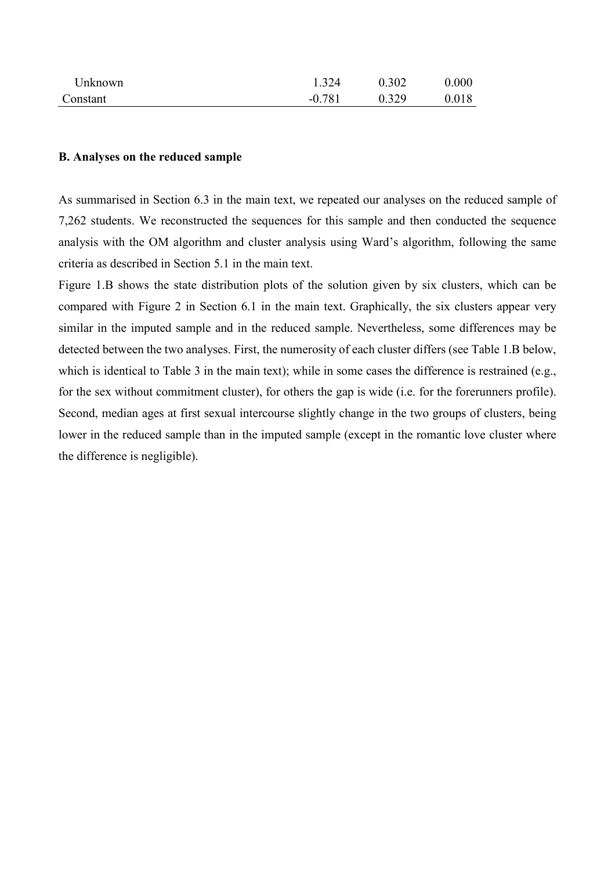| Jnknown. | 1.324    | 0.302 | 0.000 |
|----------|----------|-------|-------|
| Constant | $-0.781$ | 0.329 | 0.018 |

## **B. Analyses on the reduced sample**

As summarised in Section 6.3 in the main text, we repeated our analyses on the reduced sample of 7,262 students. We reconstructed the sequences for this sample and then conducted the sequence analysis with the OM algorithm and cluster analysis using Ward's algorithm, following the same criteria as described in Section 5.1 in the main text.

Figure 1.B shows the state distribution plots of the solution given by six clusters, which can be compared with Figure 2 in Section 6.1 in the main text. Graphically, the six clusters appear very similar in the imputed sample and in the reduced sample. Nevertheless, some differences may be detected between the two analyses. First, the numerosity of each cluster differs (see Table 1.B below, which is identical to Table 3 in the main text); while in some cases the difference is restrained (e.g., for the sex without commitment cluster), for others the gap is wide (i.e. for the forerunners profile). Second, median ages at first sexual intercourse slightly change in the two groups of clusters, being lower in the reduced sample than in the imputed sample (except in the romantic love cluster where the difference is negligible).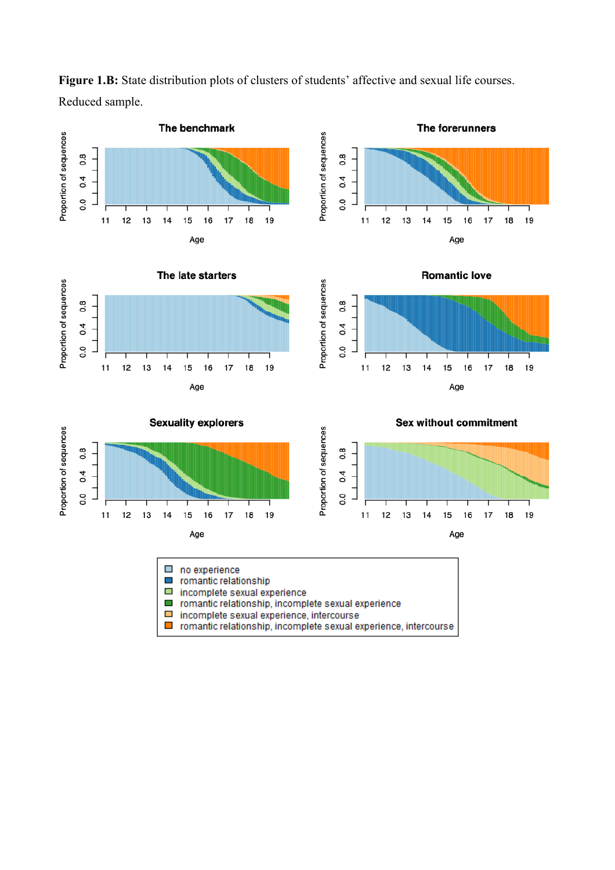

Figure 1.B: State distribution plots of clusters of students' affective and sexual life courses. Reduced sample.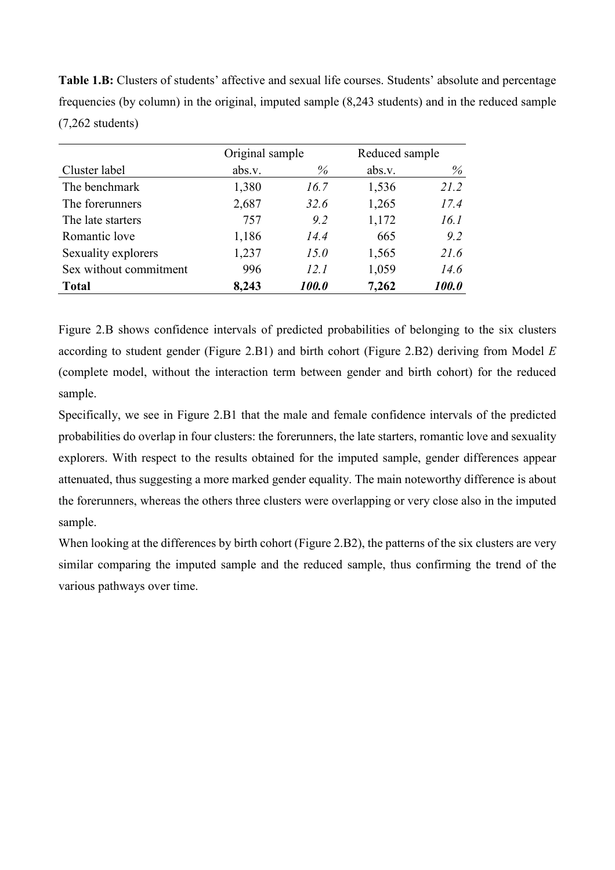**Table 1.B:** Clusters of students' affective and sexual life courses. Students' absolute and percentage frequencies (by column) in the original, imputed sample (8,243 students) and in the reduced sample (7,262 students)

|                        | Original sample |                     | Reduced sample |                     |
|------------------------|-----------------|---------------------|----------------|---------------------|
| Cluster label          | abs.v.          | $\%$                | abs.v.         | $\%$                |
| The benchmark          | 1,380           | 16.7                | 1,536          | 21.2                |
| The forerunners        | 2,687           | 32.6                | 1,265          | 17.4                |
| The late starters      | 757             | 9.2                 | 1,172          | 16.1                |
| Romantic love          | 1,186           | 14.4                | 665            | 9.2                 |
| Sexuality explorers    | 1,237           | 15.0                | 1,565          | 21.6                |
| Sex without commitment | 996             | 12.1                | 1,059          | 14.6                |
| <b>Total</b>           | 8,243           | <i><b>100.0</b></i> | 7,262          | <i><b>100.0</b></i> |

Figure 2.B shows confidence intervals of predicted probabilities of belonging to the six clusters according to student gender (Figure 2.B1) and birth cohort (Figure 2.B2) deriving from Model *E* (complete model, without the interaction term between gender and birth cohort) for the reduced sample.

Specifically, we see in Figure 2.B1 that the male and female confidence intervals of the predicted probabilities do overlap in four clusters: the forerunners, the late starters, romantic love and sexuality explorers. With respect to the results obtained for the imputed sample, gender differences appear attenuated, thus suggesting a more marked gender equality. The main noteworthy difference is about the forerunners, whereas the others three clusters were overlapping or very close also in the imputed sample.

When looking at the differences by birth cohort (Figure 2.B2), the patterns of the six clusters are very similar comparing the imputed sample and the reduced sample, thus confirming the trend of the various pathways over time.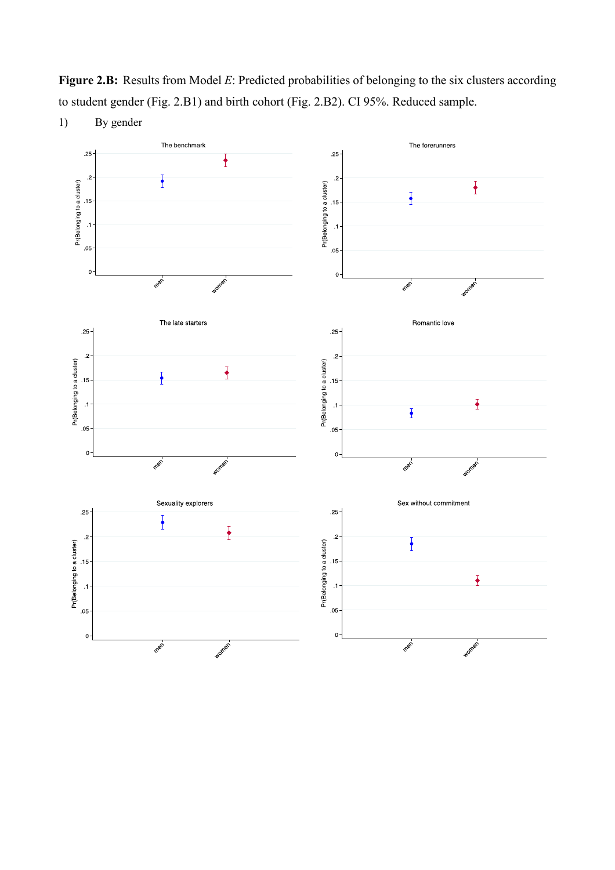**Figure 2.B:** Results from Model *E*: Predicted probabilities of belonging to the six clusters according to student gender (Fig. 2.B1) and birth cohort (Fig. 2.B2). CI 95%. Reduced sample.



1) By gender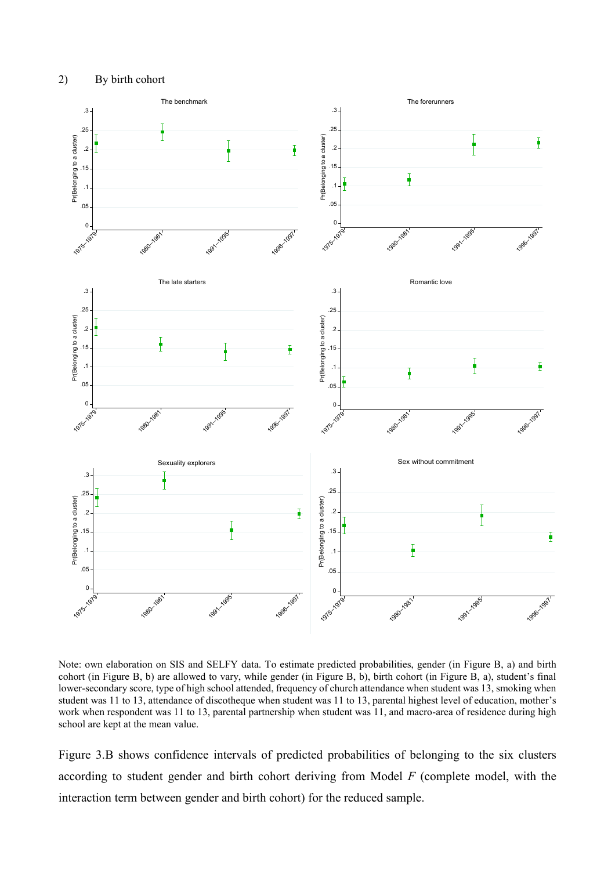

Note: own elaboration on SIS and SELFY data. To estimate predicted probabilities, gender (in Figure B, a) and birth cohort (in Figure B, b) are allowed to vary, while gender (in Figure B, b), birth cohort (in Figure B, a), student's final lower-secondary score, type of high school attended, frequency of church attendance when student was 13, smoking when student was 11 to 13, attendance of discotheque when student was 11 to 13, parental highest level of education, mother's work when respondent was 11 to 13, parental partnership when student was 11, and macro-area of residence during high school are kept at the mean value.

Figure 3.B shows confidence intervals of predicted probabilities of belonging to the six clusters according to student gender and birth cohort deriving from Model *F* (complete model, with the interaction term between gender and birth cohort) for the reduced sample.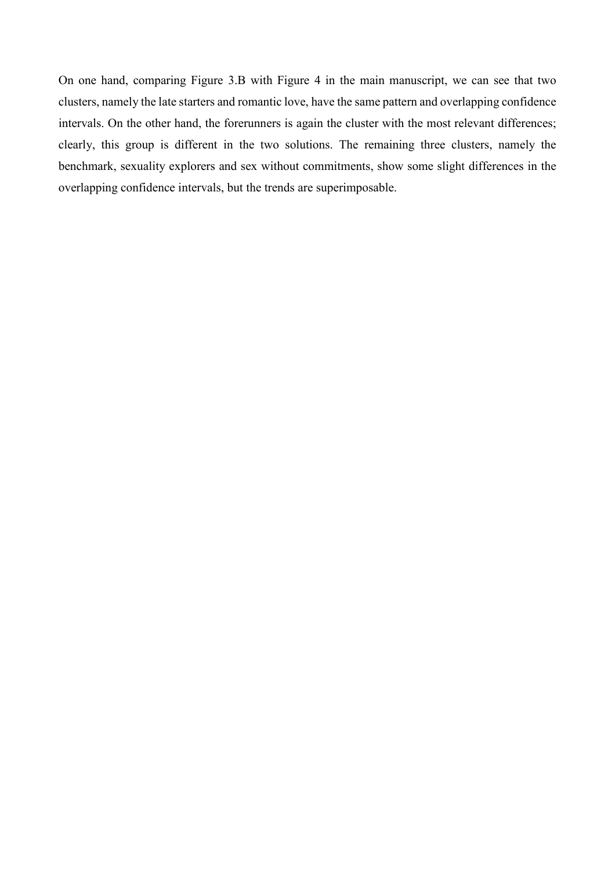On one hand, comparing Figure 3.B with Figure 4 in the main manuscript, we can see that two clusters, namely the late starters and romantic love, have the same pattern and overlapping confidence intervals. On the other hand, the forerunners is again the cluster with the most relevant differences; clearly, this group is different in the two solutions. The remaining three clusters, namely the benchmark, sexuality explorers and sex without commitments, show some slight differences in the overlapping confidence intervals, but the trends are superimposable.